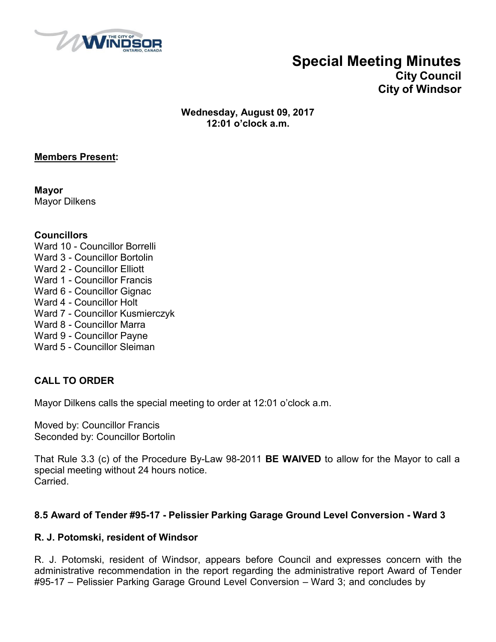

## **Special Meeting Minutes**

**City Council City of Windsor**

**Wednesday, August 09, 2017 12:01 o'clock a.m.**

#### **Members Present:**

**Mayor** Mayor Dilkens

#### **Councillors**

- Ward 10 Councillor Borrelli
- Ward 3 Councillor Bortolin
- Ward 2 Councillor Elliott
- Ward 1 Councillor Francis
- Ward 6 Councillor Gignac
- Ward 4 Councillor Holt
- Ward 7 Councillor Kusmierczyk
- Ward 8 Councillor Marra
- Ward 9 Councillor Payne
- Ward 5 Councillor Sleiman

#### **CALL TO ORDER**

Mayor Dilkens calls the special meeting to order at 12:01 o'clock a.m.

Moved by: Councillor Francis Seconded by: Councillor Bortolin

That Rule 3.3 (c) of the Procedure By-Law 98-2011 **BE WAIVED** to allow for the Mayor to call a special meeting without 24 hours notice. **Carried** 

#### **8.5 Award of Tender #95-17 - Pelissier Parking Garage Ground Level Conversion - Ward 3**

#### **R. J. Potomski, resident of Windsor**

R. J. Potomski, resident of Windsor, appears before Council and expresses concern with the administrative recommendation in the report regarding the administrative report Award of Tender #95-17 – Pelissier Parking Garage Ground Level Conversion – Ward 3; and concludes by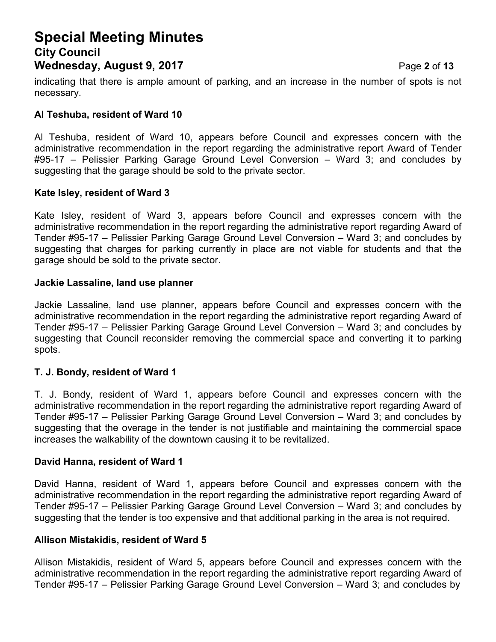## **Special Meeting Minutes City Council Wednesday, August 9, 2017** Page **2** of **13**

indicating that there is ample amount of parking, and an increase in the number of spots is not necessary.

#### **Al Teshuba, resident of Ward 10**

Al Teshuba, resident of Ward 10, appears before Council and expresses concern with the administrative recommendation in the report regarding the administrative report Award of Tender #95-17 – Pelissier Parking Garage Ground Level Conversion – Ward 3; and concludes by suggesting that the garage should be sold to the private sector.

#### **Kate Isley, resident of Ward 3**

Kate Isley, resident of Ward 3, appears before Council and expresses concern with the administrative recommendation in the report regarding the administrative report regarding Award of Tender #95-17 – Pelissier Parking Garage Ground Level Conversion – Ward 3; and concludes by suggesting that charges for parking currently in place are not viable for students and that the garage should be sold to the private sector.

#### **Jackie Lassaline, land use planner**

Jackie Lassaline, land use planner, appears before Council and expresses concern with the administrative recommendation in the report regarding the administrative report regarding Award of Tender #95-17 – Pelissier Parking Garage Ground Level Conversion – Ward 3; and concludes by suggesting that Council reconsider removing the commercial space and converting it to parking spots.

#### **T. J. Bondy, resident of Ward 1**

T. J. Bondy, resident of Ward 1, appears before Council and expresses concern with the administrative recommendation in the report regarding the administrative report regarding Award of Tender #95-17 – Pelissier Parking Garage Ground Level Conversion – Ward 3; and concludes by suggesting that the overage in the tender is not justifiable and maintaining the commercial space increases the walkability of the downtown causing it to be revitalized.

#### **David Hanna, resident of Ward 1**

David Hanna, resident of Ward 1, appears before Council and expresses concern with the administrative recommendation in the report regarding the administrative report regarding Award of Tender #95-17 – Pelissier Parking Garage Ground Level Conversion – Ward 3; and concludes by suggesting that the tender is too expensive and that additional parking in the area is not required.

#### **Allison Mistakidis, resident of Ward 5**

Allison Mistakidis, resident of Ward 5, appears before Council and expresses concern with the administrative recommendation in the report regarding the administrative report regarding Award of Tender #95-17 – Pelissier Parking Garage Ground Level Conversion – Ward 3; and concludes by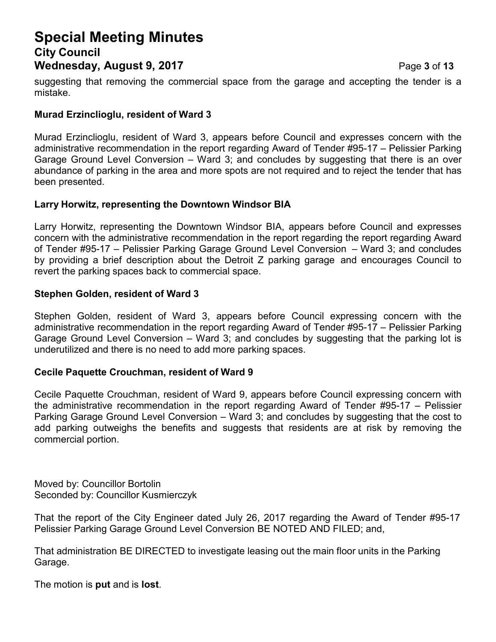## **Special Meeting Minutes City Council Wednesday, August 9, 2017** Page **3** of **13**

suggesting that removing the commercial space from the garage and accepting the tender is a mistake.

#### **Murad Erzinclioglu, resident of Ward 3**

Murad Erzinclioglu, resident of Ward 3, appears before Council and expresses concern with the administrative recommendation in the report regarding Award of Tender #95-17 – Pelissier Parking Garage Ground Level Conversion – Ward 3; and concludes by suggesting that there is an over abundance of parking in the area and more spots are not required and to reject the tender that has been presented.

#### **Larry Horwitz, representing the Downtown Windsor BIA**

Larry Horwitz, representing the Downtown Windsor BIA, appears before Council and expresses concern with the administrative recommendation in the report regarding the report regarding Award of Tender #95-17 – Pelissier Parking Garage Ground Level Conversion – Ward 3; and concludes by providing a brief description about the Detroit Z parking garage and encourages Council to revert the parking spaces back to commercial space.

#### **Stephen Golden, resident of Ward 3**

Stephen Golden, resident of Ward 3, appears before Council expressing concern with the administrative recommendation in the report regarding Award of Tender #95-17 – Pelissier Parking Garage Ground Level Conversion – Ward 3; and concludes by suggesting that the parking lot is underutilized and there is no need to add more parking spaces.

#### **Cecile Paquette Crouchman, resident of Ward 9**

Cecile Paquette Crouchman, resident of Ward 9, appears before Council expressing concern with the administrative recommendation in the report regarding Award of Tender #95-17 – Pelissier Parking Garage Ground Level Conversion – Ward 3; and concludes by suggesting that the cost to add parking outweighs the benefits and suggests that residents are at risk by removing the commercial portion.

Moved by: Councillor Bortolin Seconded by: Councillor Kusmierczyk

That the report of the City Engineer dated July 26, 2017 regarding the Award of Tender #95-17 Pelissier Parking Garage Ground Level Conversion BE NOTED AND FILED; and,

That administration BE DIRECTED to investigate leasing out the main floor units in the Parking Garage.

The motion is **put** and is **lost**.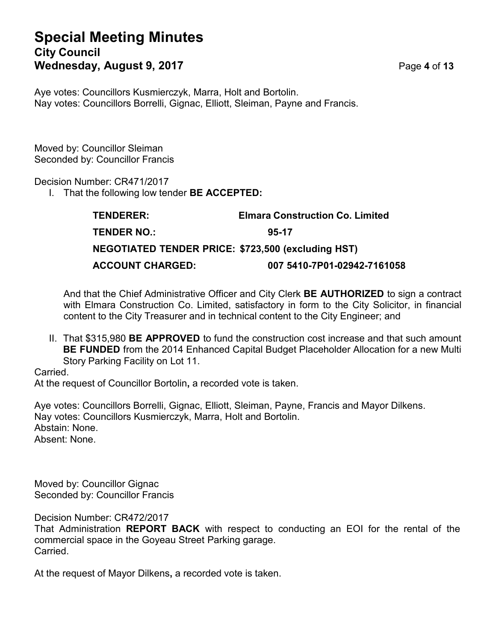## **Special Meeting Minutes City Council Wednesday, August 9, 2017** Page **4** of **13**

Aye votes: Councillors Kusmierczyk, Marra, Holt and Bortolin. Nay votes: Councillors Borrelli, Gignac, Elliott, Sleiman, Payne and Francis.

Moved by: Councillor Sleiman Seconded by: Councillor Francis

Decision Number: CR471/2017

I. That the following low tender **BE ACCEPTED:**

| <b>TENDERER:</b>                                          | <b>Elmara Construction Co. Limited</b> |
|-----------------------------------------------------------|----------------------------------------|
| TENDER NO.:                                               | 95-17                                  |
| <b>NEGOTIATED TENDER PRICE: \$723,500 (excluding HST)</b> |                                        |
| <b>ACCOUNT CHARGED:</b>                                   | 007 5410-7P01-02942-7161058            |

And that the Chief Administrative Officer and City Clerk **BE AUTHORIZED** to sign a contract with Elmara Construction Co. Limited, satisfactory in form to the City Solicitor, in financial content to the City Treasurer and in technical content to the City Engineer; and

II. That \$315,980 **BE APPROVED** to fund the construction cost increase and that such amount **BE FUNDED** from the 2014 Enhanced Capital Budget Placeholder Allocation for a new Multi Story Parking Facility on Lot 11.

Carried. At the request of Councillor Bortolin**,** a recorded vote is taken.

Aye votes: Councillors Borrelli, Gignac, Elliott, Sleiman, Payne, Francis and Mayor Dilkens. Nay votes: Councillors Kusmierczyk, Marra, Holt and Bortolin. Abstain: None. Absent: None.

Moved by: Councillor Gignac Seconded by: Councillor Francis

Decision Number: CR472/2017

That Administration **REPORT BACK** with respect to conducting an EOI for the rental of the commercial space in the Goyeau Street Parking garage. Carried.

At the request of Mayor Dilkens**,** a recorded vote is taken.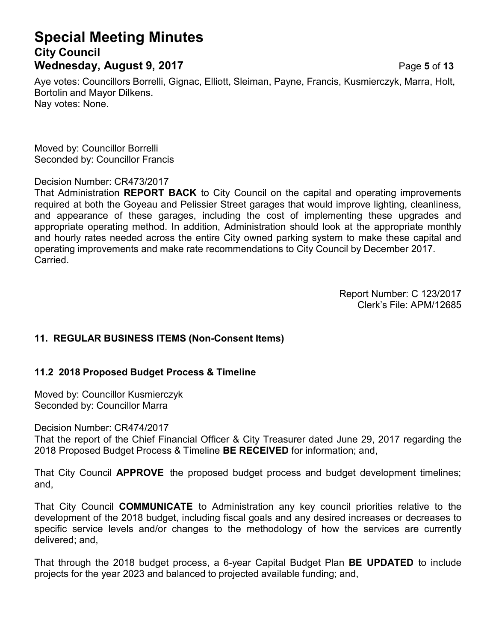## **Special Meeting Minutes City Council Wednesday, August 9, 2017** Page **5** of **13**

Aye votes: Councillors Borrelli, Gignac, Elliott, Sleiman, Payne, Francis, Kusmierczyk, Marra, Holt, Bortolin and Mayor Dilkens. Nay votes: None.

Moved by: Councillor Borrelli Seconded by: Councillor Francis

Decision Number: CR473/2017

That Administration **REPORT BACK** to City Council on the capital and operating improvements required at both the Goyeau and Pelissier Street garages that would improve lighting, cleanliness, and appearance of these garages, including the cost of implementing these upgrades and appropriate operating method. In addition, Administration should look at the appropriate monthly and hourly rates needed across the entire City owned parking system to make these capital and operating improvements and make rate recommendations to City Council by December 2017. Carried.

> Report Number: C 123/2017 Clerk's File: APM/12685

#### **11. REGULAR BUSINESS ITEMS (Non-Consent Items)**

#### **11.2 2018 Proposed Budget Process & Timeline**

Moved by: Councillor Kusmierczyk Seconded by: Councillor Marra

Decision Number: CR474/2017

That the report of the Chief Financial Officer & City Treasurer dated June 29, 2017 regarding the 2018 Proposed Budget Process & Timeline **BE RECEIVED** for information; and,

That City Council **APPROVE** the proposed budget process and budget development timelines; and,

That City Council **COMMUNICATE** to Administration any key council priorities relative to the development of the 2018 budget, including fiscal goals and any desired increases or decreases to specific service levels and/or changes to the methodology of how the services are currently delivered; and,

That through the 2018 budget process, a 6-year Capital Budget Plan **BE UPDATED** to include projects for the year 2023 and balanced to projected available funding; and,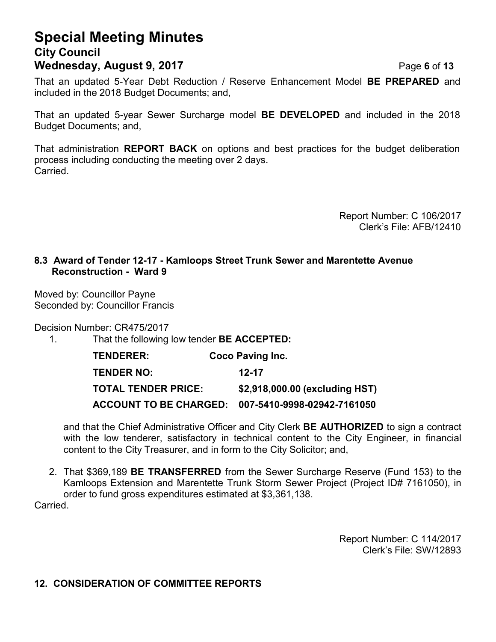## **Special Meeting Minutes City Council Wednesday, August 9, 2017** Page **6** of **13**

That an updated 5-Year Debt Reduction / Reserve Enhancement Model **BE PREPARED** and included in the 2018 Budget Documents; and,

That an updated 5-year Sewer Surcharge model **BE DEVELOPED** and included in the 2018 Budget Documents; and,

That administration **REPORT BACK** on options and best practices for the budget deliberation process including conducting the meeting over 2 days. Carried.

> Report Number: C 106/2017 Clerk's File: AFB/12410

#### **8.3 Award of Tender 12-17 - Kamloops Street Trunk Sewer and Marentette Avenue Reconstruction - Ward 9**

Moved by: Councillor Payne Seconded by: Councillor Francis

Decision Number: CR475/2017

1. That the following low tender **BE ACCEPTED:**

| <b>TENDERER:</b>           | <b>Coco Paving Inc.</b>                            |
|----------------------------|----------------------------------------------------|
| <b>TENDER NO:</b>          | $12 - 17$                                          |
| <b>TOTAL TENDER PRICE:</b> | \$2,918,000.00 (excluding HST)                     |
|                            | ACCOUNT TO BE CHARGED: 007-5410-9998-02942-7161050 |

and that the Chief Administrative Officer and City Clerk **BE AUTHORIZED** to sign a contract with the low tenderer, satisfactory in technical content to the City Engineer, in financial content to the City Treasurer, and in form to the City Solicitor; and,

2. That \$369,189 **BE TRANSFERRED** from the Sewer Surcharge Reserve (Fund 153) to the Kamloops Extension and Marentette Trunk Storm Sewer Project (Project ID# 7161050), in order to fund gross expenditures estimated at \$3,361,138.

Carried.

Report Number: C 114/2017 Clerk's File: SW/12893

#### **12. CONSIDERATION OF COMMITTEE REPORTS**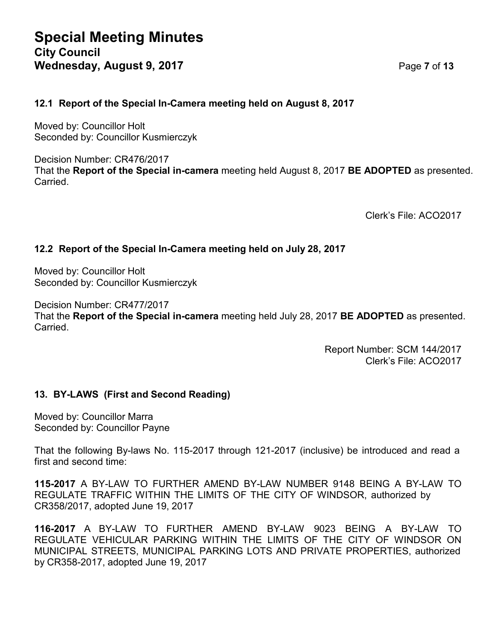#### **12.1 Report of the Special In-Camera meeting held on August 8, 2017**

Moved by: Councillor Holt Seconded by: Councillor Kusmierczyk

Decision Number: CR476/2017 That the **Report of the Special in-camera** meeting held August 8, 2017 **BE ADOPTED** as presented. Carried.

Clerk's File: ACO2017

#### **12.2 Report of the Special In-Camera meeting held on July 28, 2017**

Moved by: Councillor Holt Seconded by: Councillor Kusmierczyk

Decision Number: CR477/2017

That the **Report of the Special in-camera** meeting held July 28, 2017 **BE ADOPTED** as presented. Carried.

> Report Number: SCM 144/2017 Clerk's File: ACO2017

#### **13. BY-LAWS (First and Second Reading)**

Moved by: Councillor Marra Seconded by: Councillor Payne

That the following By-laws No. 115-2017 through 121-2017 (inclusive) be introduced and read a first and second time:

**115-2017** A BY-LAW TO FURTHER AMEND BY-LAW NUMBER 9148 BEING A BY-LAW TO REGULATE TRAFFIC WITHIN THE LIMITS OF THE CITY OF WINDSOR, authorized by CR358/2017, adopted June 19, 2017

**116-2017** A BY-LAW TO FURTHER AMEND BY-LAW 9023 BEING A BY-LAW TO REGULATE VEHICULAR PARKING WITHIN THE LIMITS OF THE CITY OF WINDSOR ON MUNICIPAL STREETS, MUNICIPAL PARKING LOTS AND PRIVATE PROPERTIES, authorized by CR358-2017, adopted June 19, 2017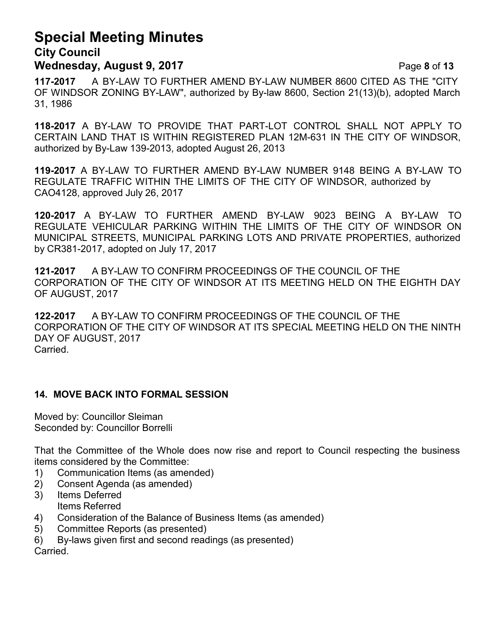# **Special Meeting Minutes**

**City Council Wednesday, August 9, 2017** Page **8** of **13**

**117-2017** A BY-LAW TO FURTHER AMEND BY-LAW NUMBER 8600 CITED AS THE "CITY OF WINDSOR ZONING BY-LAW", authorized by By-law 8600, Section 21(13)(b), adopted March 31, 1986

**118-2017** A BY-LAW TO PROVIDE THAT PART-LOT CONTROL SHALL NOT APPLY TO CERTAIN LAND THAT IS WITHIN REGISTERED PLAN 12M-631 IN THE CITY OF WINDSOR, authorized by By-Law 139-2013, adopted August 26, 2013

**119-2017** A BY-LAW TO FURTHER AMEND BY-LAW NUMBER 9148 BEING A BY-LAW TO REGULATE TRAFFIC WITHIN THE LIMITS OF THE CITY OF WINDSOR, authorized by CAO4128, approved July 26, 2017

**120-2017** A BY-LAW TO FURTHER AMEND BY-LAW 9023 BEING A BY-LAW TO REGULATE VEHICULAR PARKING WITHIN THE LIMITS OF THE CITY OF WINDSOR ON MUNICIPAL STREETS, MUNICIPAL PARKING LOTS AND PRIVATE PROPERTIES, authorized by CR381-2017, adopted on July 17, 2017

**121-2017** A BY-LAW TO CONFIRM PROCEEDINGS OF THE COUNCIL OF THE CORPORATION OF THE CITY OF WINDSOR AT ITS MEETING HELD ON THE EIGHTH DAY OF AUGUST, 2017

**122-2017** A BY-LAW TO CONFIRM PROCEEDINGS OF THE COUNCIL OF THE CORPORATION OF THE CITY OF WINDSOR AT ITS SPECIAL MEETING HELD ON THE NINTH DAY OF AUGUST, 2017 Carried.

#### **14. MOVE BACK INTO FORMAL SESSION**

Moved by: Councillor Sleiman Seconded by: Councillor Borrelli

That the Committee of the Whole does now rise and report to Council respecting the business items considered by the Committee:

- 1) Communication Items (as amended)
- 2) Consent Agenda (as amended)
- 3) Items Deferred Items Referred
- 4) Consideration of the Balance of Business Items (as amended)
- 5) Committee Reports (as presented)
- 6) By-laws given first and second readings (as presented)

Carried.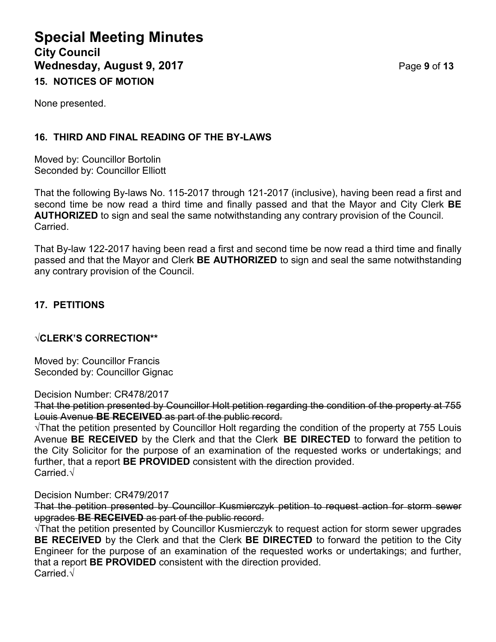## **Special Meeting Minutes City Council Wednesday, August 9, 2017** Page **9** of **13 15. NOTICES OF MOTION**

None presented.

### **16. THIRD AND FINAL READING OF THE BY-LAWS**

Moved by: Councillor Bortolin Seconded by: Councillor Elliott

That the following By-laws No. 115-2017 through 121-2017 (inclusive), having been read a first and second time be now read a third time and finally passed and that the Mayor and City Clerk **BE AUTHORIZED** to sign and seal the same notwithstanding any contrary provision of the Council. Carried.

That By-law 122-2017 having been read a first and second time be now read a third time and finally passed and that the Mayor and Clerk **BE AUTHORIZED** to sign and seal the same notwithstanding any contrary provision of the Council.

#### **17. PETITIONS**

#### **√CLERK'S CORRECTION\*\***

Moved by: Councillor Francis Seconded by: Councillor Gignac

Decision Number: CR478/2017

That the petition presented by Councillor Holt petition regarding the condition of the property at 755 Louis Avenue **BE RECEIVED** as part of the public record.

√That the petition presented by Councillor Holt regarding the condition of the property at 755 Louis Avenue **BE RECEIVED** by the Clerk and that the Clerk **BE DIRECTED** to forward the petition to the City Solicitor for the purpose of an examination of the requested works or undertakings; and further, that a report **BE PROVIDED** consistent with the direction provided. Carried.√

#### Decision Number: CR479/2017

That the petition presented by Councillor Kusmierczyk petition to request action for storm sewer upgrades **BE RECEIVED** as part of the public record.

√That the petition presented by Councillor Kusmierczyk to request action for storm sewer upgrades **BE RECEIVED** by the Clerk and that the Clerk **BE DIRECTED** to forward the petition to the City Engineer for the purpose of an examination of the requested works or undertakings; and further, that a report **BE PROVIDED** consistent with the direction provided. Carried.√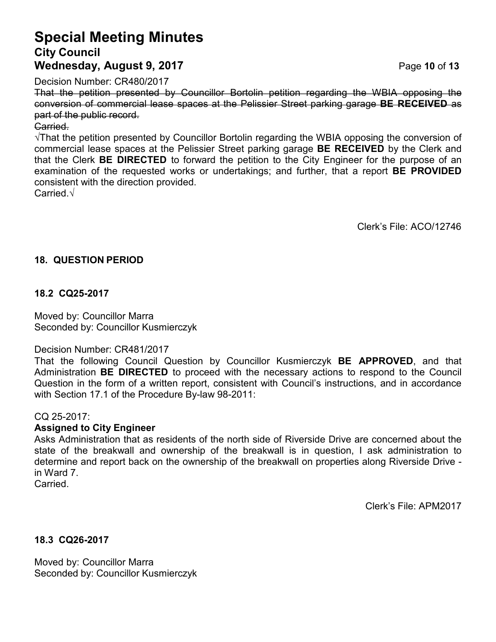## **Special Meeting Minutes City Council Wednesday, August 9, 2017** Page **10** of **13**

Decision Number: CR480/2017

That the petition presented by Councillor Bortolin petition regarding the WBIA opposing the conversion of commercial lease spaces at the Pelissier Street parking garage **BE RECEIVED** as part of the public record.

#### Carried.

√That the petition presented by Councillor Bortolin regarding the WBIA opposing the conversion of commercial lease spaces at the Pelissier Street parking garage **BE RECEIVED** by the Clerk and that the Clerk **BE DIRECTED** to forward the petition to the City Engineer for the purpose of an examination of the requested works or undertakings; and further, that a report **BE PROVIDED** consistent with the direction provided.

Carried.√

Clerk's File: ACO/12746

#### **18. QUESTION PERIOD**

#### **18.2 CQ25-2017**

Moved by: Councillor Marra Seconded by: Councillor Kusmierczyk

#### Decision Number: CR481/2017

That the following Council Question by Councillor Kusmierczyk **BE APPROVED**, and that Administration **BE DIRECTED** to proceed with the necessary actions to respond to the Council Question in the form of a written report, consistent with Council's instructions, and in accordance with Section 17.1 of the Procedure By-law 98-2011:

#### CQ 25-2017:

#### **Assigned to City Engineer**

Asks Administration that as residents of the north side of Riverside Drive are concerned about the state of the breakwall and ownership of the breakwall is in question, I ask administration to determine and report back on the ownership of the breakwall on properties along Riverside Drive in Ward 7.

**Carried** 

Clerk's File: APM2017

#### **18.3 CQ26-2017**

Moved by: Councillor Marra Seconded by: Councillor Kusmierczyk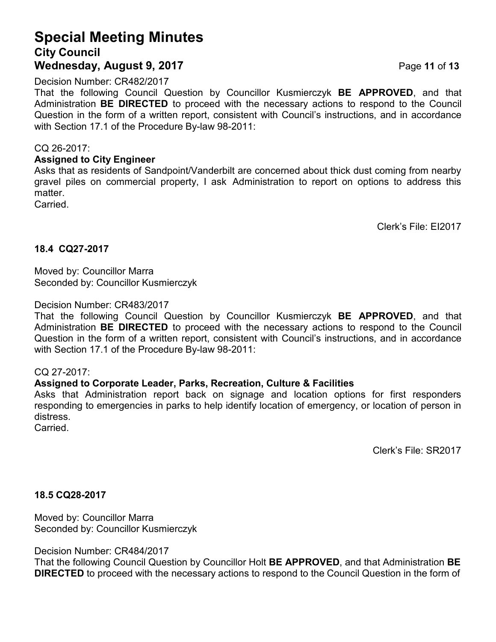## **Special Meeting Minutes City Council Wednesday, August 9, 2017** Page **11** of **13**

Decision Number: CR482/2017

That the following Council Question by Councillor Kusmierczyk **BE APPROVED**, and that Administration **BE DIRECTED** to proceed with the necessary actions to respond to the Council Question in the form of a written report, consistent with Council's instructions, and in accordance with Section 17.1 of the Procedure By-law 98-2011:

#### CQ 26-2017:

#### **Assigned to City Engineer**

Asks that as residents of Sandpoint/Vanderbilt are concerned about thick dust coming from nearby gravel piles on commercial property, I ask Administration to report on options to address this matter.

**Carried** 

Clerk's File: EI2017

#### **18.4 CQ27-2017**

Moved by: Councillor Marra Seconded by: Councillor Kusmierczyk

#### Decision Number: CR483/2017

That the following Council Question by Councillor Kusmierczyk **BE APPROVED**, and that Administration **BE DIRECTED** to proceed with the necessary actions to respond to the Council Question in the form of a written report, consistent with Council's instructions, and in accordance with Section 17.1 of the Procedure By-law 98-2011:

#### CQ 27-2017:

#### **Assigned to Corporate Leader, Parks, Recreation, Culture & Facilities**

Asks that Administration report back on signage and location options for first responders responding to emergencies in parks to help identify location of emergency, or location of person in distress.

Carried.

Clerk's File: SR2017

#### **18.5 CQ28-2017**

Moved by: Councillor Marra Seconded by: Councillor Kusmierczyk

Decision Number: CR484/2017

That the following Council Question by Councillor Holt **BE APPROVED**, and that Administration **BE DIRECTED** to proceed with the necessary actions to respond to the Council Question in the form of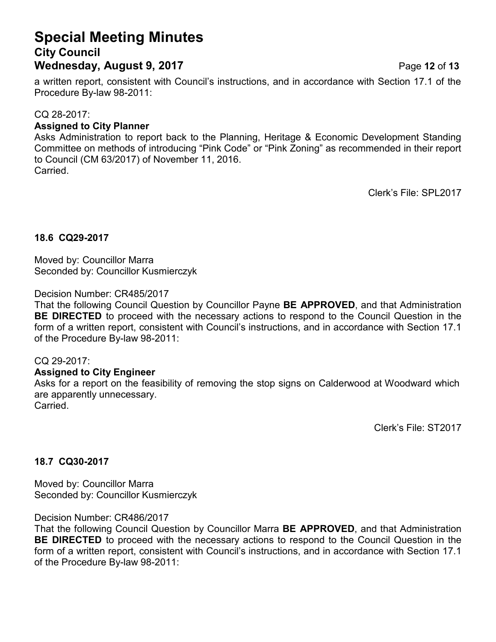## **Special Meeting Minutes City Council Wednesday, August 9, 2017** Page **12** of **13**

a written report, consistent with Council's instructions, and in accordance with Section 17.1 of the Procedure By-law 98-2011:

#### CQ 28-2017:

#### **Assigned to City Planner**

Asks Administration to report back to the Planning, Heritage & Economic Development Standing Committee on methods of introducing "Pink Code" or "Pink Zoning" as recommended in their report to Council (CM 63/2017) of November 11, 2016. Carried.

Clerk's File: SPL2017

#### **18.6 CQ29-2017**

Moved by: Councillor Marra Seconded by: Councillor Kusmierczyk

Decision Number: CR485/2017

That the following Council Question by Councillor Payne **BE APPROVED**, and that Administration **BE DIRECTED** to proceed with the necessary actions to respond to the Council Question in the form of a written report, consistent with Council's instructions, and in accordance with Section 17.1 of the Procedure By-law 98-2011:

#### CQ 29-2017:

#### **Assigned to City Engineer**

Asks for a report on the feasibility of removing the stop signs on Calderwood at Woodward which are apparently unnecessary. Carried.

Clerk's File: ST2017

#### **18.7 CQ30-2017**

Moved by: Councillor Marra Seconded by: Councillor Kusmierczyk

Decision Number: CR486/2017

That the following Council Question by Councillor Marra **BE APPROVED**, and that Administration **BE DIRECTED** to proceed with the necessary actions to respond to the Council Question in the form of a written report, consistent with Council's instructions, and in accordance with Section 17.1 of the Procedure By-law 98-2011: